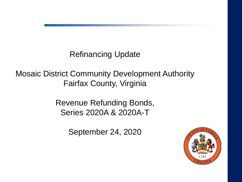Refinancing Update

Mosaic District Community Development Authority Fairfax County, Virginia

> Revenue Refunding Bonds, Series 2020A & 2020A-T

> > September 24, 2020

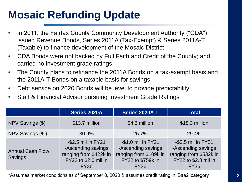# **Mosaic Refunding Update**

- In 2011, the Fairfax County Community Development Authority ("CDA") issued Revenue Bonds, Series 2011A (Tax-Exempt) & Series 2011A-T (Taxable) to finance development of the Mosaic District
- CDA Bonds were not backed by Full Faith and Credit of the County; and carried no investment grade ratings
- The County plans to refinance the 2011A Bonds on a tax-exempt basis and the 2011A-T Bonds on a taxable basis for savings
- Debt service on 2020 Bonds will be level to provide predictability
- Staff & Financial Advisor pursuing Investment Grade Ratings

|                                    | Series 2020A                                                                                              | <b>Series 2020A-T</b>                                                                                  | <b>Total</b>                                                                                              |
|------------------------------------|-----------------------------------------------------------------------------------------------------------|--------------------------------------------------------------------------------------------------------|-----------------------------------------------------------------------------------------------------------|
| NPV Savings (\$)                   | \$13.7 million                                                                                            | \$4.6 million                                                                                          | \$18.3 million                                                                                            |
| NPV Savings (%)                    | 30.9%                                                                                                     | 25.7%                                                                                                  | 29.4%                                                                                                     |
| <b>Annual Cash Flow</b><br>Savings | -\$2.5 mil in FY21<br>-Ascending savings<br>ranging from \$422k in<br>FY22 to \$2.0 mil in<br><b>FY36</b> | -\$1.0 mil in FY21<br>-Ascending savings<br>ranging from \$109k in<br>FY22 to \$759k in<br><b>FY36</b> | -\$3.5 mil in FY21<br>-Ascending savings<br>ranging from \$532k in<br>FY22 to \$2.8 mil in<br><b>FY36</b> |

\*Assumes market conditions as of September 8, 2020 & assumes credit rating in 'Baa2' category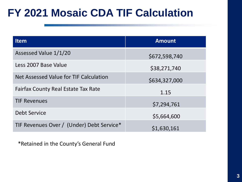## **FY 2021 Mosaic CDA TIF Calculation**

| <b>Item</b>                                | <b>Amount</b> |
|--------------------------------------------|---------------|
| Assessed Value 1/1/20                      | \$672,598,740 |
| Less 2007 Base Value                       | \$38,271,740  |
| Net Assessed Value for TIF Calculation     | \$634,327,000 |
| <b>Fairfax County Real Estate Tax Rate</b> | 1.15          |
| <b>TIF Revenues</b>                        | \$7,294,761   |
| <b>Debt Service</b>                        | \$5,664,600   |
| TIF Revenues Over / (Under) Debt Service*  | \$1,630,161   |

\*Retained in the County's General Fund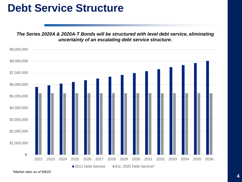#### **Debt Service Structure**

*The Series 2020A & 2020A-T Bonds will be structured with level debt service, eliminating uncertainty of an escalating debt service structure.*

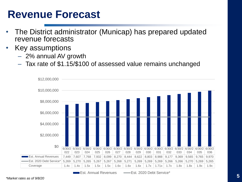#### **Revenue Forecast**

- The District administrator (Municap) has prepared updated revenue forecasts
- Key assumptions
	- 2% annual AV growth
	- Tax rate of \$1.15/\$100 of assessed value remains unchanged



**Est. Annual Revenues (Est. 2020 Debt Service\***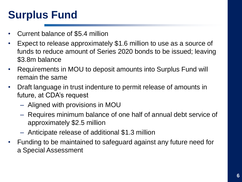# **Surplus Fund**

- Current balance of \$5.4 million
- Expect to release approximately \$1.6 million to use as a source of funds to reduce amount of Series 2020 bonds to be issued; leaving \$3.8m balance
- Requirements in MOU to deposit amounts into Surplus Fund will remain the same
- Draft language in trust indenture to permit release of amounts in future, at CDA's request
	- Aligned with provisions in MOU
	- Requires minimum balance of one half of annual debt service of approximately \$2.5 million
	- Anticipate release of additional \$1.3 million
- Funding to be maintained to safeguard against any future need for a Special Assessment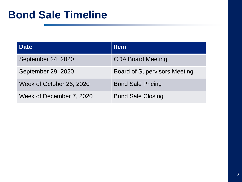### **Bond Sale Timeline**

| <b>Date</b>              | <b>Item</b>                         |
|--------------------------|-------------------------------------|
| September 24, 2020       | <b>CDA Board Meeting</b>            |
| September 29, 2020       | <b>Board of Supervisors Meeting</b> |
| Week of October 26, 2020 | <b>Bond Sale Pricing</b>            |
| Week of December 7, 2020 | <b>Bond Sale Closing</b>            |